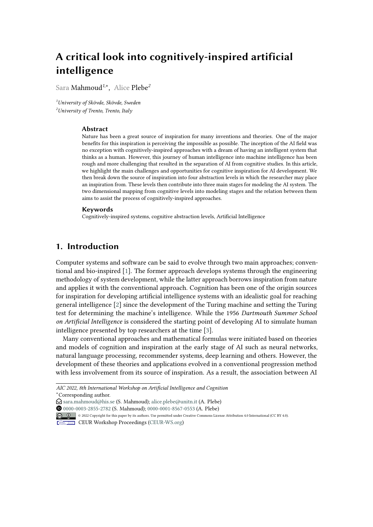# **A critical look into cognitively-inspired artificial intelligence**

Sara Mahmoud*<sup>1</sup>*,\* , Alice Plebe*<sup>2</sup>*

*<sup>1</sup>University of Skövde, Skövde, Sweden <sup>2</sup>University of Trento, Trento, Italy*

#### **Abstract**

Nature has been a great source of inspiration for many inventions and theories. One of the major benefits for this inspiration is perceiving the impossible as possible. The inception of the AI field was no exception with cognitively-inspired approaches with a dream of having an intelligent system that thinks as a human. However, this journey of human intelligence into machine intelligence has been rough and more challenging that resulted in the separation of AI from cognitive studies. In this article, we highlight the main challenges and opportunities for cognitive inspiration for AI development. We then break down the source of inspiration into four abstraction levels in which the researcher may place an inspiration from. These levels then contribute into three main stages for modeling the AI system. The two dimensional mapping from cognitive levels into modeling stages and the relation between them aims to assist the process of cognitively-inspired approaches.

#### **Keywords**

Cognitively-inspired systems, cognitive abstraction levels, Artificial Intelligence

## **1. Introduction**

Computer systems and software can be said to evolve through two main approaches; conventional and bio-inspired [\[1\]](#page-4-0). The former approach develops systems through the engineering methodology of system development, while the latter approach borrows inspiration from nature and applies it with the conventional approach. Cognition has been one of the origin sources for inspiration for developing artificial intelligence systems with an idealistic goal for reaching general intelligence [\[2\]](#page-4-1) since the development of the Turing machine and setting the Turing test for determining the machine's intelligence. While the 1956 *Dartmouth Summer School on Artificial Intelligence* is considered the starting point of developing AI to simulate human intelligence presented by top researchers at the time [\[3\]](#page-4-2).

Many conventional approaches and mathematical formulas were initiated based on theories and models of cognition and inspiration at the early stage of AI such as neural networks, natural language processing, recommender systems, deep learning and others. However, the development of these theories and applications evolved in a conventional progression method with less involvement from its source of inspiration. As a result, the association between AI

*AIC 2022, 8th International Workshop on Artificial Intelligence and Cognition* \*Corresponding author.

- $\bigcirc$  [sara.mahmoud@his.se](mailto:sara.mahmoud@his.se) (S. Mahmoud); [alice.plebe@unitn.it](mailto:alice.plebe@unitn.it) (A. Plebe)
- [0000-0003-2855-2782](https://orcid.org/0000-0003-2855-2782) (S. Mahmoud); [0000-0001-8567-0553](https://orcid.org/0000-0001-8567-0553) (A. Plebe)

© 2022 Copyright for this paper by its authors. Use permitted under Creative Commons License Attribution 4.0 International (CC BY 4.0).

**CEUR Workshop [Proceedings](http://ceur-ws.org) [\(CEUR-WS.org\)](http://ceur-ws.org)**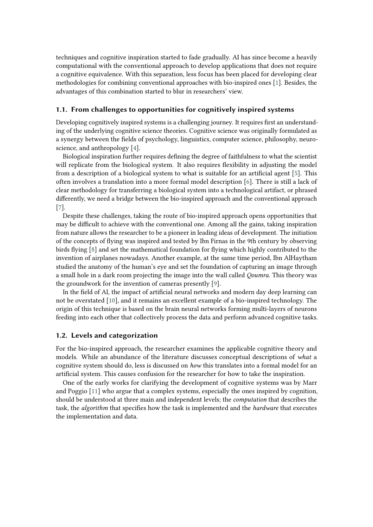techniques and cognitive inspiration started to fade gradually. AI has since become a heavily computational with the conventional approach to develop applications that does not require a cognitive equivalence. With this separation, less focus has been placed for developing clear methodologies for combining conventional approaches with bio-inspired ones [\[1\]](#page-4-0). Besides, the advantages of this combination started to blur in researchers' view.

## **1.1. From challenges to opportunities for cognitively inspired systems**

Developing cognitively inspired systems is a challenging journey. It requires first an understanding of the underlying cognitive science theories. Cognitive science was originally formulated as a synergy between the fields of psychology, linguistics, computer science, philosophy, neuroscience, and anthropology [\[4\]](#page-4-3).

Biological inspiration further requires defining the degree of faithfulness to what the scientist will replicate from the biological system. It also requires flexibility in adjusting the model from a description of a biological system to what is suitable for an artificial agent [\[5\]](#page-4-4). This often involves a translation into a more formal model description [\[6\]](#page-4-5). There is still a lack of clear methodology for transferring a biological system into a technological artifact, or phrased differently, we need a bridge between the bio-inspired approach and the conventional approach [\[7\]](#page-4-6).

Despite these challenges, taking the route of bio-inspired approach opens opportunities that may be difficult to achieve with the conventional one. Among all the gains, taking inspiration from nature allows the researcher to be a pioneer in leading ideas of development. The initiation of the concepts of flying was inspired and tested by Ibn Firnas in the 9th century by observing birds flying [\[8\]](#page-4-7) and set the mathematical foundation for flying which highly contributed to the invention of airplanes nowadays. Another example, at the same time period, Ibn AlHaytham studied the anatomy of the human's eye and set the foundation of capturing an image through a small hole in a dark room projecting the image into the wall called *Qoumra*. This theory was the groundwork for the invention of cameras presently [\[9\]](#page-4-8).

In the field of AI, the impact of artificial neural networks and modern day deep learning can not be overstated [\[10\]](#page-5-0), and it remains an excellent example of a bio-inspired technology. The origin of this technique is based on the brain neural networks forming multi-layers of neurons feeding into each other that collectively process the data and perform advanced cognitive tasks.

### **1.2. Levels and categorization**

For the bio-inspired approach, the researcher examines the applicable cognitive theory and models. While an abundance of the literature discusses conceptual descriptions of *what* a cognitive system should do, less is discussed on *how* this translates into a formal model for an artificial system. This causes confusion for the researcher for how to take the inspiration.

One of the early works for clarifying the development of cognitive systems was by Marr and Poggio [\[11\]](#page-5-1) who argue that a complex systems, especially the ones inspired by cognition, should be understood at three main and independent levels; the *computation* that describes the task, the *algorithm* that specifies how the task is implemented and the *hardware* that executes the implementation and data.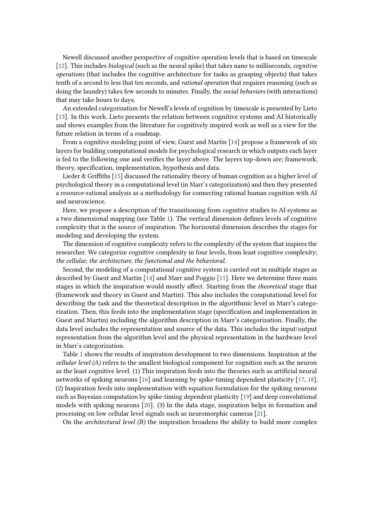Newell discussed another perspective of cognitive operation levels that is based on timescale [\[12\]](#page-5-2). This includes *biological* (such as the neural spike) that takes nano to milliseconds, *cognitive operations* (that includes the cognitive architecture for tasks as grasping objects) that takes tenth of a second to less that ten seconds, and *rational operation* that requires reasoning (such as doing the laundry) takes few seconds to minutes. Finally, the *social behaviors* (with interactions) that may take hours to days.

An extended categorization for Newell's levels of cognition by timescale is presented by Lieto [\[13\]](#page-5-3). In this work, Lieto presents the relation between cognitive systems and AI historically and shows examples from the literature for cognitively inspired work as well as a view for the future relation in terms of a roadmap.

From a cognitive modeling point of view, Guest and Martin [\[14\]](#page-5-4) propose a framework of six layers for building computational models for psychological research in which outputs each layer is fed to the following one and verifies the layer above. The layers top-down are; framework, theory, specification, implementation, hypothesis and data.

Lieder & Griffiths [\[15\]](#page-5-5) discussed the rationality theory of human cognition as a higher level of psychological theory in a computational level (in Marr's categorization) and then they presented a resource-rational analysis as a methodology for connecting rational human cognition with AI and neuroscience.

Here, we propose a description of the transitioning from cognitive studies to AI systems as a two dimensional mapping (see Table [1\)](#page-3-0). The vertical dimension defines levels of cognitive complexity that is the source of inspiration. The horizontal dimension describes the stages for modeling and developing the system.

The dimension of cognitive complexity refers to the complexity of the system that inspires the researcher. We categorize cognitive complexity in four levels, from least cognitive complexity; *the cellular, the architecture, the functional and the behavioral*.

Second, the modeling of a computational cognitive system is carried out in multiple stages as described by Guest and Martin [\[14\]](#page-5-4) and Marr and Poggio [\[11\]](#page-5-1). Here we determine three main stages in which the inspiration would mostly affect. Starting from the *theoretical* stage that (framework and theory in Guest and Martin). This also includes the computational level for describing the task and the theoretical description in the algorithmic level in Marr's categorization. Then, this feeds into the implementation stage (specification and implementation in Guest and Martin) including the algorithm description in Marr's categorization. Finally, the data level includes the representation and source of the data. This includes the input/output representation from the algorithm level and the physical representation in the hardware level in Marr's categorization.

Table [1](#page-3-0) shows the results of inspiration development to two dimensions. Inspiration at the *cellular level (A)* refers to the smallest biological component for cognition such as the neuron as the least cognitive level. (1) This inspiration feeds into the theories such as artificial neural networks of spiking neurons [\[16\]](#page-5-6) and learning by spike-timing dependent plasticity [\[17,](#page-5-7) [18\]](#page-5-8). (2) Inspiration feeds into implementation with equation formulation for the spiking neurons such as Bayesian computation by spike-timing dependent plasticity [\[19\]](#page-5-9) and deep convolutional models with spiking neurons [\[20\]](#page-5-10). (3) In the data stage, inspiration helps in formation and processing on low cellular level signals such as neuromorphic cameras [\[21\]](#page-5-11).

On the *architectural level (B)* the inspiration broadens the ability to build more complex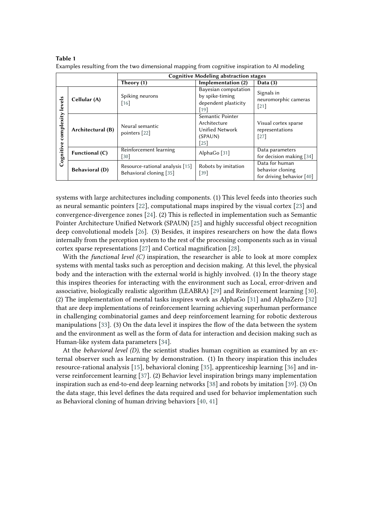|                                   |                       | <b>Cognitive Modeling abstraction stages</b>               |                                                                          |                                                                 |
|-----------------------------------|-----------------------|------------------------------------------------------------|--------------------------------------------------------------------------|-----------------------------------------------------------------|
|                                   |                       | Theory (1)                                                 | Implementation (2)                                                       | Data $(3)$                                                      |
| levels<br>complexity<br>Cognitive | Cellular (A)          | Spiking neurons<br>$[16]$                                  | Bayesian computation<br>by spike-timing<br>dependent plasticity<br>[19]  | Signals in<br>neuromorphic cameras<br>$[21]$                    |
|                                   | Architectural (B)     | Neural semantic<br>pointers [22]                           | Semantic Pointer<br>Architecture<br>Unified Network<br>(SPAUN)<br>$[25]$ | Visual cortex sparse<br>representations<br>$[27]$               |
|                                   | Functional (C)        | Reinforcement learning<br>$\lceil 30 \rceil$               | AlphaGo <sup>[31]</sup>                                                  | Data parameters<br>for decision making $[34]$                   |
|                                   | <b>Behavioral (D)</b> | Resource-rational analysis [15]<br>Behavioral cloning [35] | Robots by imitation<br>$[39]$                                            | Data for human<br>behavior cloning<br>for driving behavior [40] |

<span id="page-3-0"></span>**Table 1** Examples resulting from the two dimensional mapping from cognitive inspiration to AI modeling

systems with large architectures including components. (1) This level feeds into theories such as neural semantic pointers [\[22\]](#page-5-12), computational maps inspired by the visual cortex [\[23\]](#page-5-16) and convergence-divergence zones [\[24\]](#page-5-17). (2) This is reflected in implementation such as Semantic Pointer Architecture Unified Network (SPAUN) [\[25\]](#page-5-13) and highly successful object recognition deep convolutional models [\[26\]](#page-5-18). (3) Besides, it inspires researchers on how the data flows internally from the perception system to the rest of the processing components such as in visual cortex sparse representations [\[27\]](#page-5-14) and Cortical magnification [\[28\]](#page-5-19).

With the *functional level (C)* inspiration, the researcher is able to look at more complex systems with mental tasks such as perception and decision making. At this level, the physical body and the interaction with the external world is highly involved. (1) In the theory stage this inspires theories for interacting with the environment such as Local, error-driven and associative, biologically realistic algorithm (LEABRA) [\[29\]](#page-5-20) and Reinforcement learning [\[30\]](#page-5-15). (2) The implementation of mental tasks inspires work as AlphaGo [\[31\]](#page-6-0) and AlphaZero [\[32\]](#page-6-5) that are deep implementations of reinforcement learning achieving superhuman performance in challenging combinatorial games and deep reinforcement learning for robotic dexterous manipulations [\[33\]](#page-6-6). (3) On the data level it inspires the flow of the data between the system and the environment as well as the form of data for interaction and decision making such as Human-like system data parameters [\[34\]](#page-6-1).

At the *behavioral level (D)*, the scientist studies human cognition as examined by an external observer such as learning by demonstration. (1) In theory inspiration this includes resource-rational analysis [\[15\]](#page-5-5), behavioral cloning [\[35\]](#page-6-2), apprenticeship learning [\[36\]](#page-6-7) and inverse reinforcement learning [\[37\]](#page-6-8). (2) Behavior level inspiration brings many implementation inspiration such as end-to-end deep learning networks [\[38\]](#page-6-9) and robots by imitation [\[39\]](#page-6-3). (3) On the data stage, this level defines the data required and used for behavior implementation such as Behavioral cloning of human driving behaviors [\[40,](#page-6-4) [41\]](#page-6-10)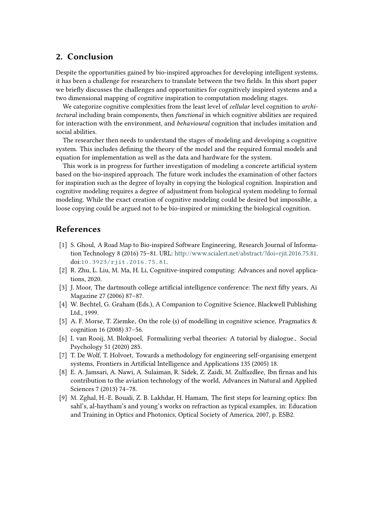# **2. Conclusion**

Despite the opportunities gained by bio-inspired approaches for developing intelligent systems, it has been a challenge for researchers to translate between the two fields. In this short paper we briefly discusses the challenges and opportunities for cognitively inspired systems and a two dimensional mapping of cognitive inspiration to computation modeling stages.

We categorize cognitive complexities from the least level of *cellular* level cognition to *architectural* including brain components, then *functional* in which cognitive abilities are required for interaction with the environment, and *behavioural* cognition that includes imitation and social abilities.

The researcher then needs to understand the stages of modeling and developing a cognitive system. This includes defining the theory of the model and the required formal models and equation for implementation as well as the data and hardware for the system.

This work is in progress for further investigation of modeling a concrete artificial system based on the bio-inspired approach. The future work includes the examination of other factors for inspiration such as the degree of loyalty in copying the biological cognition. Inspiration and cognitive modeling requires a degree of adjustment from biological system modeling to formal modeling. While the exact creation of cognitive modeling could be desired but impossible, a loose copying could be argued not to be bio-inspired or mimicking the biological cognition.

# **References**

- <span id="page-4-0"></span>[1] S. Ghoul, A Road Map to Bio-inspired Software Engineering, Research Journal of Information Technology 8 (2016) 75–81. URL: [http://www.scialert.net/abstract/?doi=rjit.2016.75.81.](http://www.scialert.net/abstract/?doi=rjit.2016.75.81) doi:[10.3923/rjit.2016.75.81](http://dx.doi.org/10.3923/rjit.2016.75.81).
- <span id="page-4-1"></span>[2] R. Zhu, L. Liu, M. Ma, H. Li, Cognitive-inspired computing: Advances and novel applications, 2020.
- <span id="page-4-2"></span>[3] J. Moor, The dartmouth college artificial intelligence conference: The next fifty years, Ai Magazine 27 (2006) 87–87.
- <span id="page-4-3"></span>[4] W. Bechtel, G. Graham (Eds.), A Companion to Cognitive Science, Blackwell Publishing Ltd., 1999.
- <span id="page-4-4"></span>[5] A. F. Morse, T. Ziemke, On the role (s) of modelling in cognitive science, Pragmatics & cognition 16 (2008) 37–56.
- <span id="page-4-5"></span>[6] I. van Rooij, M. Blokpoel, Formalizing verbal theories: A tutorial by dialogue., Social Psychology 51 (2020) 285.
- <span id="page-4-6"></span>[7] T. De Wolf, T. Holvoet, Towards a methodology for engineering self-organising emergent systems, Frontiers in Artificial Intelligence and Applications 135 (2005) 18.
- <span id="page-4-7"></span>[8] E. A. Jamsari, A. Nawi, A. Sulaiman, R. Sidek, Z. Zaidi, M. Zulfazdlee, Ibn firnas and his contribution to the aviation technology of the world, Advances in Natural and Applied Sciences 7 (2013) 74–78.
- <span id="page-4-8"></span>[9] M. Zghal, H.-E. Bouali, Z. B. Lakhdar, H. Hamam, The first steps for learning optics: Ibn sahl's, al-haytham's and young's works on refraction as typical examples, in: Education and Training in Optics and Photonics, Optical Society of America, 2007, p. ESB2.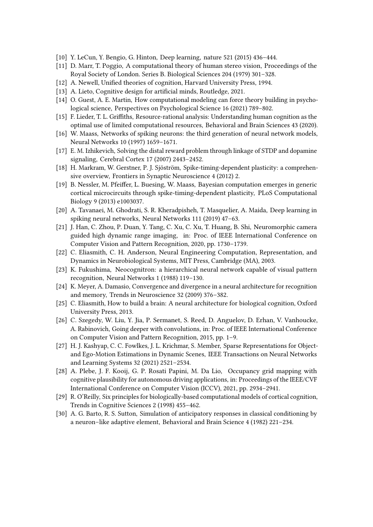- <span id="page-5-0"></span>[10] Y. LeCun, Y. Bengio, G. Hinton, Deep learning, nature 521 (2015) 436–444.
- <span id="page-5-1"></span>[11] D. Marr, T. Poggio, A computational theory of human stereo vision, Proceedings of the Royal Society of London. Series B. Biological Sciences 204 (1979) 301–328.
- <span id="page-5-2"></span>[12] A. Newell, Unified theories of cognition, Harvard University Press, 1994.
- <span id="page-5-3"></span>[13] A. Lieto, Cognitive design for artificial minds, Routledge, 2021.
- <span id="page-5-4"></span>[14] O. Guest, A. E. Martin, How computational modeling can force theory building in psychological science, Perspectives on Psychological Science 16 (2021) 789–802.
- <span id="page-5-5"></span>[15] F. Lieder, T. L. Griffiths, Resource-rational analysis: Understanding human cognition as the optimal use of limited computational resources, Behavioral and Brain Sciences 43 (2020).
- <span id="page-5-6"></span>[16] W. Maass, Networks of spiking neurons: the third generation of neural network models, Neural Networks 10 (1997) 1659–1671.
- <span id="page-5-7"></span>[17] E. M. Izhikevich, Solving the distal reward problem through linkage of STDP and dopamine signaling, Cerebral Cortex 17 (2007) 2443–2452.
- <span id="page-5-8"></span>[18] H. Markram, W. Gerstner, P. J. Sjöström, Spike-timing-dependent plasticity: a comprehensive overview, Frontiers in Synaptic Neuroscience 4 (2012) 2.
- <span id="page-5-9"></span>[19] B. Nessler, M. Pfeiffer, L. Buesing, W. Maass, Bayesian computation emerges in generic cortical microcircuits through spike-timing-dependent plasticity, PLoS Computational Biology 9 (2013) e1003037.
- <span id="page-5-10"></span>[20] A. Tavanaei, M. Ghodrati, S. R. Kheradpisheh, T. Masquelier, A. Maida, Deep learning in spiking neural networks, Neural Networks 111 (2019) 47–63.
- <span id="page-5-11"></span>[21] J. Han, C. Zhou, P. Duan, Y. Tang, C. Xu, C. Xu, T. Huang, B. Shi, Neuromorphic camera guided high dynamic range imaging, in: Proc. of IEEE International Conference on Computer Vision and Pattern Recognition, 2020, pp. 1730–1739.
- <span id="page-5-12"></span>[22] C. Eliasmith, C. H. Anderson, Neural Engineering Computation, Representation, and Dynamics in Neurobiological Systems, MIT Press, Cambridge (MA), 2003.
- <span id="page-5-16"></span>[23] K. Fukushima, Neocognitron: a hierarchical neural network capable of visual pattern recognition, Neural Networks 1 (1988) 119–130.
- <span id="page-5-17"></span>[24] K. Meyer, A. Damasio, Convergence and divergence in a neural architecture for recognition and memory, Trends in Neuroscience 32 (2009) 376–382.
- <span id="page-5-13"></span>[25] C. Eliasmith, How to build a brain: A neural architecture for biological cognition, Oxford University Press, 2013.
- <span id="page-5-18"></span>[26] C. Szegedy, W. Liu, Y. Jia, P. Sermanet, S. Reed, D. Anguelov, D. Erhan, V. Vanhoucke, A. Rabinovich, Going deeper with convolutions, in: Proc. of IEEE International Conference on Computer Vision and Pattern Recognition, 2015, pp. 1–9.
- <span id="page-5-14"></span>[27] H. J. Kashyap, C. C. Fowlkes, J. L. Krichmar, S. Member, Sparse Representations for Objectand Ego-Motion Estimations in Dynamic Scenes, IEEE Transactions on Neural Networks and Learning Systems 32 (2021) 2521–2534.
- <span id="page-5-19"></span>[28] A. Plebe, J. F. Kooij, G. P. Rosati Papini, M. Da Lio, Occupancy grid mapping with cognitive plausibility for autonomous driving applications, in: Proceedings of the IEEE/CVF International Conference on Computer Vision (ICCV), 2021, pp. 2934–2941.
- <span id="page-5-20"></span>[29] R. O'Reilly, Six principles for biologically-based computational models of cortical cognition, Trends in Cognitive Sciences 2 (1998) 455–462.
- <span id="page-5-15"></span>[30] A. G. Barto, R. S. Sutton, Simulation of anticipatory responses in classical conditioning by a neuron–like adaptive element, Behavioral and Brain Science 4 (1982) 221–234.